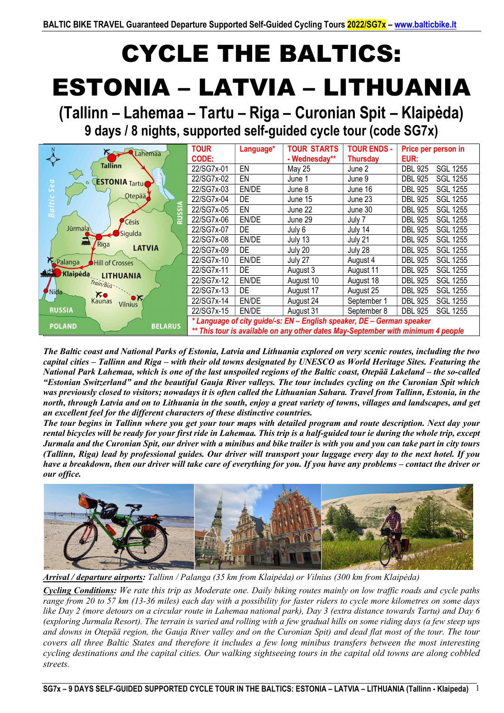# CYCLE THE BALTICS: ESTONIA – LATVIA – LITHUANIA

(Tallinn – Lahemaa – Tartu – Riga – Curonian Spit – Klaipėda) 9 days / 8 nights, supported self-guided cycle tour (code SG7x)

|                                                     | <b>TOUR</b>                                                                      | Language* | <b>TOUR STARTS</b> | <b>TOUR ENDS -</b> | Price per person in               |
|-----------------------------------------------------|----------------------------------------------------------------------------------|-----------|--------------------|--------------------|-----------------------------------|
| Lahemaa                                             | <b>CODE:</b>                                                                     |           | - Wednesday**      | Thursday           | EUR:                              |
| Tallinn                                             | 22/SG7x-01                                                                       | EN        | May 25             | June 2             | <b>DBL 925</b><br><b>SGL 1255</b> |
| <b>ESTONIA</b> Tartu<br>$\circ$                     | 22/SG7x-02                                                                       | EN        | June 1             | June 9             | <b>SGL 1255</b><br><b>DBL 925</b> |
| Sea                                                 | 22/SG7x-03                                                                       | EN/DE     | June 8             | June 16            | <b>SGL 1255</b><br><b>DBL 925</b> |
| Otepää<br>Baltic                                    | 22/SG7x-04                                                                       | <b>DE</b> | June 15            | June 23            | <b>SGL 1255</b><br><b>DBL 925</b> |
| ᅙ<br>$\sim$                                         | 22/SG7x-05                                                                       | EN        | June 22            | June 30            | <b>SGL 1255</b><br><b>DBL 925</b> |
| <b>Cēsis</b>                                        | 22/SG7x-06                                                                       | EN/DE     | June 29            | July 7             | <b>DBL 925</b><br><b>SGL 1255</b> |
| Jūrmala<br>Sigulda                                  | 22/SG7x-07                                                                       | DE        | July 6             | July 14            | <b>SGL 1255</b><br><b>DBL 925</b> |
| 2000<br>/ Rīga                                      | 22/SG7x-08                                                                       | EN/DE     | July 13            | July 21            | <b>SGL 1255</b><br><b>DBL 925</b> |
| <b>LATVIA</b>                                       | 22/SG7x-09                                                                       | DE.       | July 20            | July 28            | <b>DBL 925</b><br><b>SGL 1255</b> |
| Palanga<br><b>Hill of Crosses</b>                   | 22/SG7x-10                                                                       | EN/DE     | July 27            | August 4           | <b>DBL 925</b><br><b>SGL 1255</b> |
| <b>AON</b><br>Klaipėdą<br><b>LITHUANIA</b>          | 22/SG7x-11                                                                       | DE.       | August 3           | August 11          | <b>DBL 925</b><br><b>SGL 1255</b> |
| Train/Bus - .                                       | 22/SG7x-12                                                                       | EN/DE     | August 10          | August 18          | <b>SGL 1255</b><br><b>DBL 925</b> |
| Nida<br>$K_{\bullet}$                               | 22/SG7x-13                                                                       | DE.       | August 17          | August 25          | <b>DBL 925</b><br><b>SGL 1255</b> |
| $\bullet \times$<br><b>Kaunas</b><br><b>Vilnius</b> | 22/SG7x-14                                                                       | EN/DE     | August 24          | September 1        | <b>DBL 925</b><br><b>SGL 1255</b> |
| <b>RUSSIA</b>                                       | 22/SG7x-15                                                                       | EN/DE     | August 31          | September 8        | <b>DBL 925</b><br><b>SGL 1255</b> |
| <b>BELARUS</b><br><b>POLAND</b>                     | * Language of city guide/-s: EN - English speaker, DE - German speaker           |           |                    |                    |                                   |
|                                                     | ** This tour is available on any other dates May-September with minimum 4 people |           |                    |                    |                                   |

The Baltic coast and National Parks of Estonia, Latvia and Lithuania explored on very scenic routes, including the two capital cities – Tallinn and Riga – with their old towns designated by UNESCO as World Heritage Sites. Featuring the National Park Lahemaa, which is one of the last unspoiled regions of the Baltic coast, Otepää Lakeland – the so-called "Estonian Switzerland" and the beautiful Gauja River valleys. The tour includes cycling on the Curonian Spit which was previously closed to visitors; nowadays it is often called the Lithuanian Sahara. Travel from Tallinn, Estonia, in the north, through Latvia and on to Lithuania in the south, enjoy a great variety of towns, villages and landscapes, and get an excellent feel for the different characters of these distinctive countries.

The tour begins in Tallinn where you get your tour maps with detailed program and route description. Next day your rental bicycles will be ready for your first ride in Lahemaa. This trip is a half-guided tour ie during the whole trip, except Jurmala and the Curonian Spit, our driver with a minibus and bike trailer is with you and you can take part in city tours (Tallinn, Riga) lead by professional guides. Our driver will transport your luggage every day to the next hotel. If you have a breakdown, then our driver will take care of everything for you. If you have any problems – contact the driver or our office.



Arrival / departure airports: Tallinn / Palanga (35 km from Klaipėda) or Vilnius (300 km from Klaipėda)

Cycling Conditions: We rate this trip as Moderate one. Daily biking routes mainly on low traffic roads and cycle paths range from 20 to 57 km (13-36 miles) each day with a possibility for faster riders to cycle more kilometres on some days like Day 2 (more detours on a circular route in Lahemaa national park), Day 3 (extra distance towards Tartu) and Day 6 (exploring Jurmala Resort). The terrain is varied and rolling with a few gradual hills on some riding days (a few steep ups and downs in Otepää region, the Gauja River valley and on the Curonian Spit) and dead flat most of the tour. The tour covers all three Baltic States and therefore it includes a few long minibus transfers between the most interesting cycling destinations and the capital cities. Our walking sightseeing tours in the capital old towns are along cobbled streets.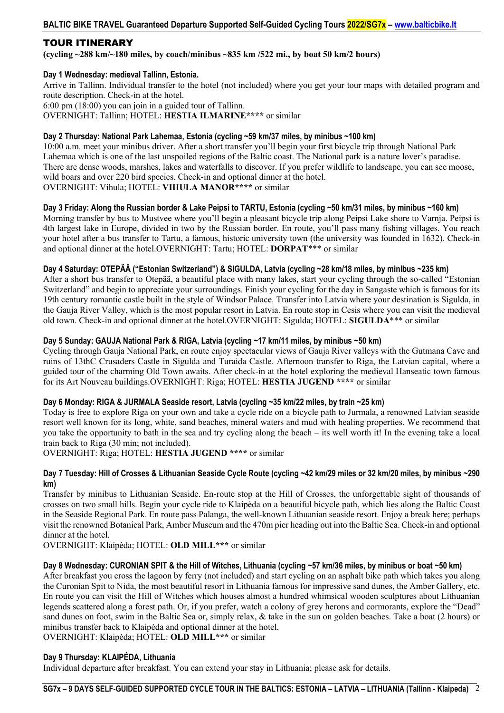# TOUR ITINERARY

(cycling  $\sim$ 288 km/ $\sim$ 180 miles, by coach/minibus  $\sim$ 835 km/522 mi., by boat 50 km/2 hours)

# Day 1 Wednesday: medieval Tallinn, Estonia.

Arrive in Tallinn. Individual transfer to the hotel (not included) where you get your tour maps with detailed program and route description. Check-in at the hotel. 6:00 pm (18:00) you can join in a guided tour of Tallinn. OVERNIGHT: Tallinn; HOTEL: HESTIA ILMARINE\*\*\*\* or similar

# Day 2 Thursday: National Park Lahemaa, Estonia (cycling ~59 km/37 miles, by minibus ~100 km)

10:00 a.m. meet your minibus driver. After a short transfer you'll begin your first bicycle trip through National Park Lahemaa which is one of the last unspoiled regions of the Baltic coast. The National park is a nature lover's paradise. There are dense woods, marshes, lakes and waterfalls to discover. If you prefer wildlife to landscape, you can see moose, wild boars and over 220 bird species. Check-in and optional dinner at the hotel. OVERNIGHT: Vihula; HOTEL: VIHULA MANOR\*\*\*\* or similar

# Day 3 Friday: Along the Russian border & Lake Peipsi to TARTU, Estonia (cycling ~50 km/31 miles, by minibus ~160 km)

Morning transfer by bus to Mustvee where you'll begin a pleasant bicycle trip along Peipsi Lake shore to Varnja. Peipsi is 4th largest lake in Europe, divided in two by the Russian border. En route, you'll pass many fishing villages. You reach your hotel after a bus transfer to Tartu, a famous, historic university town (the university was founded in 1632). Check-in and optional dinner at the hotel.OVERNIGHT: Tartu; HOTEL: DORPAT\*\*\* or similar

# Day 4 Saturday: OTEPÄÄ ("Estonian Switzerland") & SIGULDA, Latvia (cycling ~28 km/18 miles, by minibus ~235 km)

After a short bus transfer to Otepää, a beautiful place with many lakes, start your cycling through the so-called "Estonian Switzerland" and begin to appreciate your surroundings. Finish your cycling for the day in Sangaste which is famous for its 19th century romantic castle built in the style of Windsor Palace. Transfer into Latvia where your destination is Sigulda, in the Gauja River Valley, which is the most popular resort in Latvia. En route stop in Cesis where you can visit the medieval old town. Check-in and optional dinner at the hotel.OVERNIGHT: Sigulda; HOTEL: SIGULDA\*\*\* or similar

# Day 5 Sunday: GAUJA National Park & RIGA, Latvia (cycling ~17 km/11 miles, by minibus ~50 km)

Cycling through Gauja National Park, en route enjoy spectacular views of Gauja River valleys with the Gutmana Cave and ruins of 13thC Crusaders Castle in Sigulda and Turaida Castle. Afternoon transfer to Riga, the Latvian capital, where a guided tour of the charming Old Town awaits. After check-in at the hotel exploring the medieval Hanseatic town famous for its Art Nouveau buildings.OVERNIGHT: Riga; HOTEL: HESTIA JUGEND \*\*\*\* or similar

#### Day 6 Monday: RIGA & JURMALA Seaside resort, Latvia (cycling ~35 km/22 miles, by train ~25 km)

Today is free to explore Riga on your own and take a cycle ride on a bicycle path to Jurmala, a renowned Latvian seaside resort well known for its long, white, sand beaches, mineral waters and mud with healing properties. We recommend that you take the opportunity to bath in the sea and try cycling along the beach – its well worth it! In the evening take a local train back to Riga (30 min; not included).

OVERNIGHT: Riga; HOTEL: HESTIA JUGEND \*\*\*\* or similar

#### Day 7 Tuesday: Hill of Crosses & Lithuanian Seaside Cycle Route (cycling ~42 km/29 miles or 32 km/20 miles, by minibus ~290 km)

Transfer by minibus to Lithuanian Seaside. En-route stop at the Hill of Crosses, the unforgettable sight of thousands of crosses on two small hills. Begin your cycle ride to Klaipėda on a beautiful bicycle path, which lies along the Baltic Coast in the Seaside Regional Park. En route pass Palanga, the well-known Lithuanian seaside resort. Enjoy a break here; perhaps visit the renowned Botanical Park, Amber Museum and the 470m pier heading out into the Baltic Sea. Check-in and optional dinner at the hotel.

OVERNIGHT: Klaipėda; HOTEL: OLD MILL\*\*\* or similar

#### Day 8 Wednesday: CURONIAN SPIT & the Hill of Witches, Lithuania (cycling ~57 km/36 miles, by minibus or boat ~50 km)

After breakfast you cross the lagoon by ferry (not included) and start cycling on an asphalt bike path which takes you along the Curonian Spit to Nida, the most beautiful resort in Lithuania famous for impressive sand dunes, the Amber Gallery, etc. En route you can visit the Hill of Witches which houses almost a hundred whimsical wooden sculptures about Lithuanian legends scattered along a forest path. Or, if you prefer, watch a colony of grey herons and cormorants, explore the "Dead" sand dunes on foot, swim in the Baltic Sea or, simply relax, & take in the sun on golden beaches. Take a boat (2 hours) or minibus transfer back to Klaipėda and optional dinner at the hotel.

OVERNIGHT: Klaipėda; HOTEL: OLD MILL\*\*\* or similar

#### Day 9 Thursday: KLAIPĖDA, Lithuania

Individual departure after breakfast. You can extend your stay in Lithuania; please ask for details.